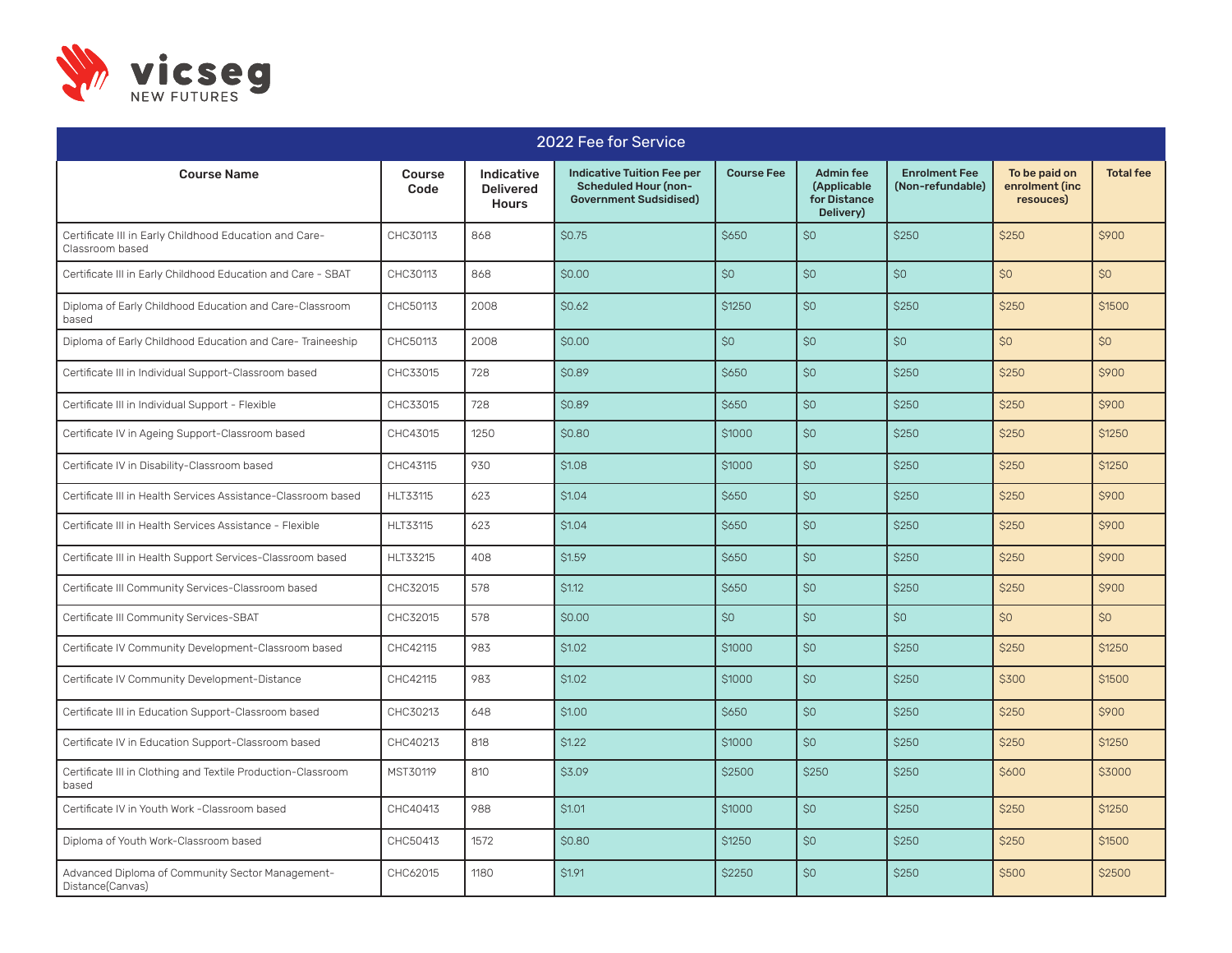

| 2022 Fee for Service                                                      |                       |                                                |                                                                                                   |                   |                                                              |                                          |                                              |                  |
|---------------------------------------------------------------------------|-----------------------|------------------------------------------------|---------------------------------------------------------------------------------------------------|-------------------|--------------------------------------------------------------|------------------------------------------|----------------------------------------------|------------------|
| <b>Course Name</b>                                                        | <b>Course</b><br>Code | Indicative<br><b>Delivered</b><br><b>Hours</b> | <b>Indicative Tuition Fee per</b><br><b>Scheduled Hour (non-</b><br><b>Government Sudsidised)</b> | <b>Course Fee</b> | <b>Admin fee</b><br>(Applicable<br>for Distance<br>Delivery) | <b>Enrolment Fee</b><br>(Non-refundable) | To be paid on<br>enrolment (inc<br>resouces) | <b>Total fee</b> |
| Certificate III in Early Childhood Education and Care-<br>Classroom based | CHC30113              | 868                                            | \$0.75                                                                                            | \$650             | SO                                                           | \$250                                    | \$250                                        | \$900            |
| Certificate III in Early Childhood Education and Care - SBAT              | CHC30113              | 868                                            | \$0.00                                                                                            | \$0               | SO                                                           | SO                                       | SO <sub>2</sub>                              | \$0              |
| Diploma of Early Childhood Education and Care-Classroom<br>based          | CHC50113              | 2008                                           | \$0.62                                                                                            | <b>\$1250</b>     | \$0                                                          | <b>\$250</b>                             | \$250                                        | \$1500           |
| Diploma of Early Childhood Education and Care-Traineeship                 | CHC50113              | 2008                                           | \$0.00                                                                                            | \$0               | SO                                                           | \$0                                      | \$0                                          | \$0              |
| Certificate III in Individual Support-Classroom based                     | CHC33015              | 728                                            | \$0.89                                                                                            | <b>\$650</b>      | SO                                                           | <b>\$250</b>                             | \$250                                        | \$900            |
| Certificate III in Individual Support - Flexible                          | CHC33015              | 728                                            | \$0.89                                                                                            | <b>\$650</b>      | \$0                                                          | <b>\$250</b>                             | \$250                                        | \$900            |
| Certificate IV in Ageing Support-Classroom based                          | CHC43015              | 1250                                           | \$0.80                                                                                            | \$1000            | SO                                                           | \$250                                    | \$250                                        | \$1250           |
| Certificate IV in Disability-Classroom based                              | CHC43115              | 930                                            | \$1.08                                                                                            | <b>\$1000</b>     | SO                                                           | \$250                                    | \$250                                        | \$1250           |
| Certificate III in Health Services Assistance-Classroom based             | HLT33115              | 623                                            | \$1.04                                                                                            | \$650             | \$0                                                          | \$250                                    | \$250                                        | \$900            |
| Certificate III in Health Services Assistance - Flexible                  | HLT33115              | 623                                            | \$1.04                                                                                            | \$650             | SO                                                           | \$250                                    | \$250                                        | \$900            |
| Certificate III in Health Support Services-Classroom based                | HLT33215              | 408                                            | \$1.59                                                                                            | <b>\$650</b>      | SO                                                           | <b>\$250</b>                             | \$250                                        | \$900            |
| Certificate III Community Services-Classroom based                        | CHC32015              | 578                                            | \$1.12                                                                                            | <b>\$650</b>      | SO                                                           | \$250                                    | \$250                                        | \$900            |
| Certificate III Community Services-SBAT                                   | CHC32015              | 578                                            | \$0.00                                                                                            | \$0               | \$0                                                          | \$0                                      | \$0                                          | \$0              |
| Certificate IV Community Development-Classroom based                      | CHC42115              | 983                                            | \$1.02                                                                                            | \$1000            | \$0                                                          | \$250                                    | \$250                                        | \$1250           |
| Certificate IV Community Development-Distance                             | CHC42115              | 983                                            | \$1.02                                                                                            | \$1000            | \$0                                                          | \$250                                    | \$300                                        | \$1500           |
| Certificate III in Education Support-Classroom based                      | CHC30213              | 648                                            | \$1.00                                                                                            | \$650             | SO                                                           | \$250                                    | \$250                                        | \$900            |
| Certificate IV in Education Support-Classroom based                       | CHC40213              | 818                                            | \$1.22                                                                                            | \$1000            | \$0                                                          | \$250                                    | \$250                                        | \$1250           |
| Certificate III in Clothing and Textile Production-Classroom<br>based     | MST30119              | 810                                            | \$3.09                                                                                            | \$2500            | \$250                                                        | \$250                                    | \$600                                        | \$3000           |
| Certificate IV in Youth Work -Classroom based                             | CHC40413              | 988                                            | \$1.01                                                                                            | \$1000            | \$0                                                          | <b>\$250</b>                             | \$250                                        | \$1250           |
| Diploma of Youth Work-Classroom based                                     | CHC50413              | 1572                                           | \$0.80                                                                                            | <b>\$1250</b>     | \$0                                                          | <b>\$250</b>                             | \$250                                        | \$1500           |
| Advanced Diploma of Community Sector Management-<br>Distance(Canvas)      | CHC62015              | 1180                                           | \$1.91                                                                                            | \$2250            | \$0                                                          | \$250                                    | \$500                                        | \$2500           |